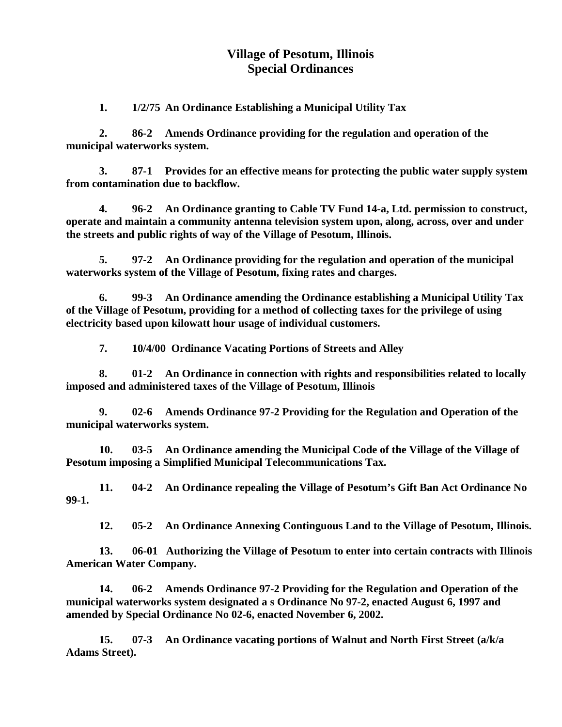## **Village of Pesotum, Illinois Special Ordinances**

 **1. 1/2/75 An Ordinance Establishing a Municipal Utility Tax** 

 **2. 86-2 Amends Ordinance providing for the regulation and operation of the municipal waterworks system.** 

 **3. 87-1 Provides for an effective means for protecting the public water supply system from contamination due to backflow.** 

 **4. 96-2 An Ordinance granting to Cable TV Fund 14-a, Ltd. permission to construct, operate and maintain a community antenna television system upon, along, across, over and under the streets and public rights of way of the Village of Pesotum, Illinois.** 

 **5. 97-2 An Ordinance providing for the regulation and operation of the municipal waterworks system of the Village of Pesotum, fixing rates and charges.** 

 **6. 99-3 An Ordinance amending the Ordinance establishing a Municipal Utility Tax of the Village of Pesotum, providing for a method of collecting taxes for the privilege of using electricity based upon kilowatt hour usage of individual customers.** 

**7. 10/4/00 Ordinance Vacating Portions of Streets and Alley** 

**8. 01-2 An Ordinance in connection with rights and responsibilities related to locally imposed and administered taxes of the Village of Pesotum, Illinois** 

**9. 02-6 Amends Ordinance 97-2 Providing for the Regulation and Operation of the municipal waterworks system.** 

**10. 03-5 An Ordinance amending the Municipal Code of the Village of the Village of Pesotum imposing a Simplified Municipal Telecommunications Tax.** 

**11. 04-2 An Ordinance repealing the Village of Pesotum's Gift Ban Act Ordinance No 99-1.** 

 **12. 05-2 An Ordinance Annexing Continguous Land to the Village of Pesotum, Illinois.** 

 **13. 06-01 Authorizing the Village of Pesotum to enter into certain contracts with Illinois American Water Company.** 

 **14. 06-2 Amends Ordinance 97-2 Providing for the Regulation and Operation of the municipal waterworks system designated a s Ordinance No 97-2, enacted August 6, 1997 and amended by Special Ordinance No 02-6, enacted November 6, 2002.** 

 **15. 07-3 An Ordinance vacating portions of Walnut and North First Street (a/k/a Adams Street).**